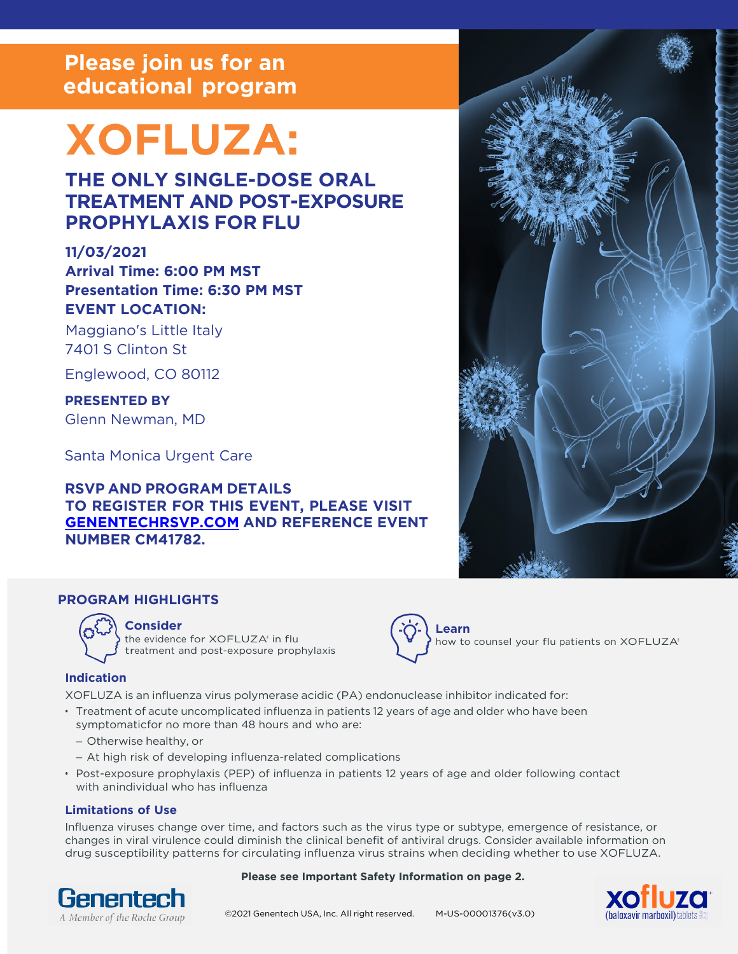# **Please join us for an educational program**

# **XOFLUZA:**

# **THE ONLY SINGLE-DOSE ORAL TREATMENT AND POST-EXPOSURE PROPHYLAXIS FOR FLU**

# **11/03/2021**

**Arrival Time: 6:00 PM MST Presentation Time: 6:30 PM MST EVENT LOCATION:**

Maggiano's Little Italy 7401 S Clinton St

Englewood, CO 80112

**PRESENTED BY** Glenn Newman, MD

Santa Monica Urgent Care

# **RSVP AND PROGRAM DETAILS TO REGISTER FOR THIS EVENT, PLEASE VISIT [GENENTECHRSVP.COM](https://genentechrsvp.com?program_code=CM41782) AND REFERENCE EVENT NUMBER CM41782.**



# **PROGRAM HIGHLIGHTS**



# **Consider**

the evidence for XOFLUZA<sup>®</sup> in flu treatment and post-exposure prophylaxis



how to counsel your flu patients on XOFLUZA®

## **Indication**

XOFLUZA is an influenza virus polymerase acidic (PA) endonuclease inhibitor indicated for:

- Treatment of acute uncomplicated influenza in patients 12 years of age and older who have been symptomatic for no more than 48 hours and who are:
	- Otherwise healthy, or
	- At high risk of developing influenza-related complications
- Post-exposure prophylaxis (PEP) of influenza in patients 12 years of age and older following contact with anindividual who has influenza

## **Limitations of Use**

Influenza viruses change over time, and factors such as the virus type or subtype, emergence of resistance, or changes in viral virulence could diminish the clinical benefit of antiviral drugs. Consider available information on drug susceptibility patterns for circulating influenza virus strains when deciding whether to use XOFLUZA.





# A Member of the Roche Group ©2021 Genentech USA, Inc. All right reserved. M-US-00001376(v3.0)